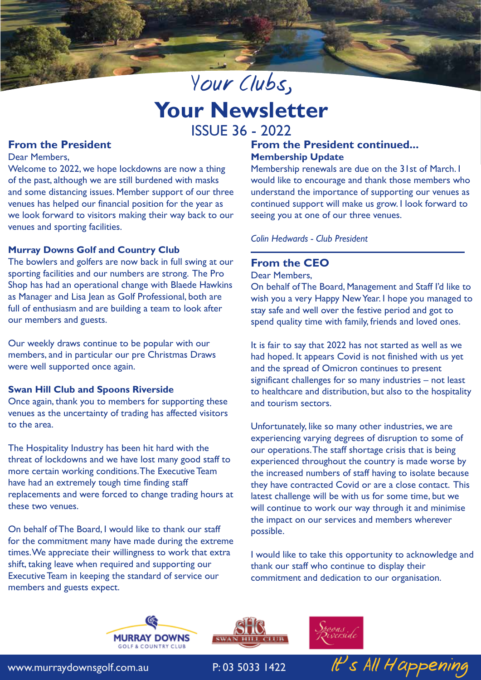# Your Clubs, **Your Newsletter** ISSUE 36 - 2022

# **From the President**

Dear Members,

Welcome to 2022, we hope lockdowns are now a thing of the past, although we are still burdened with masks and some distancing issues. Member support of our three venues has helped our financial position for the year as we look forward to visitors making their way back to our venues and sporting facilities.

# **Murray Downs Golf and Country Club**

The bowlers and golfers are now back in full swing at our sporting facilities and our numbers are strong. The Pro Shop has had an operational change with Blaede Hawkins as Manager and Lisa Jean as Golf Professional, both are full of enthusiasm and are building a team to look after our members and guests.

Our weekly draws continue to be popular with our members, and in particular our pre Christmas Draws were well supported once again.

#### **Swan Hill Club and Spoons Riverside**

Once again, thank you to members for supporting these venues as the uncertainty of trading has affected visitors to the area.

The Hospitality Industry has been hit hard with the threat of lockdowns and we have lost many good staff to more certain working conditions. The Executive Team have had an extremely tough time finding staff replacements and were forced to change trading hours at these two venues.

On behalf of The Board, I would like to thank our staff for the commitment many have made during the extreme times. We appreciate their willingness to work that extra shift, taking leave when required and supporting our Executive Team in keeping the standard of service our members and guests expect.

# **From the President continued... Membership Update**

Membership renewals are due on the 31st of March. I would like to encourage and thank those members who understand the importance of supporting our venues as continued support will make us grow. I look forward to seeing you at one of our three venues.

#### *Colin Hedwards - Club President*

# **From the CEO**

Dear Members,

On behalf of The Board, Management and Staff I'd like to wish you a very Happy New Year. I hope you managed to stay safe and well over the festive period and got to spend quality time with family, friends and loved ones.

It is fair to say that 2022 has not started as well as we had hoped. It appears Covid is not finished with us yet and the spread of Omicron continues to present significant challenges for so many industries – not least to healthcare and distribution, but also to the hospitality and tourism sectors.

Unfortunately, like so many other industries, we are experiencing varying degrees of disruption to some of our operations. The staff shortage crisis that is being experienced throughout the country is made worse by the increased numbers of staff having to isolate because they have contracted Covid or are a close contact. This latest challenge will be with us for some time, but we will continue to work our way through it and minimise the impact on our services and members wherever possible.

I would like to take this opportunity to acknowledge and thank our staff who continue to display their commitment and dedication to our organisation.







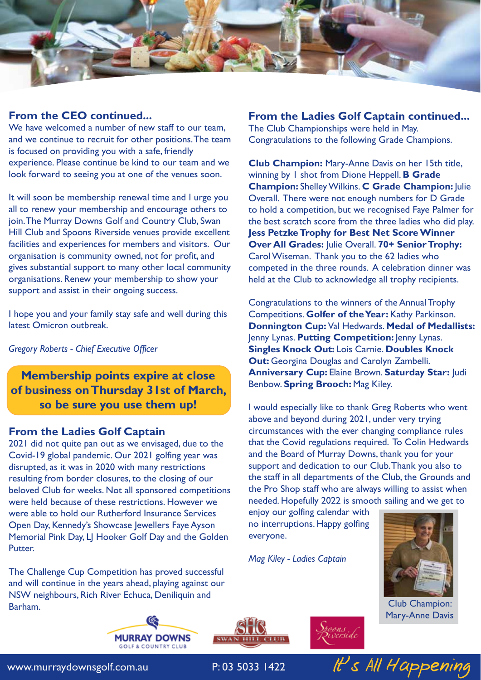

# **From the CEO continued...**

We have welcomed a number of new staff to our team, and we continue to recruit for other positions. The team is focused on providing you with a safe, friendly experience. Please continue be kind to our team and we look forward to seeing you at one of the venues soon.

It will soon be membership renewal time and I urge you all to renew your membership and encourage others to join. The Murray Downs Golf and Country Club, Swan Hill Club and Spoons Riverside venues provide excellent facilities and experiences for members and visitors. Our organisation is community owned, not for profit, and gives substantial support to many other local community organisations. Renew your membership to show your support and assist in their ongoing success.

I hope you and your family stay safe and well during this latest Omicron outbreak.

*Gregory Roberts - Chief Executive Officer*

**Membership points expire at close of business on Thursday 31st of March, so be sure you use them up!**

# **From the Ladies Golf Captain**

2021 did not quite pan out as we envisaged, due to the Covid-19 global pandemic. Our 2021 golfing year was disrupted, as it was in 2020 with many restrictions resulting from border closures, to the closing of our beloved Club for weeks. Not all sponsored competitions were held because of these restrictions. However we were able to hold our Rutherford Insurance Services Open Day, Kennedy's Showcase Jewellers Faye Ayson Memorial Pink Day, LJ Hooker Golf Day and the Golden Putter.

The Challenge Cup Competition has proved successful and will continue in the years ahead, playing against our NSW neighbours, Rich River Echuca, Deniliquin and Barham.

## **From the Ladies Golf Captain continued...**

The Club Championships were held in May. Congratulations to the following Grade Champions.

**Club Champion:** Mary-Anne Davis on her 15th title, winning by 1 shot from Dione Heppell. **B Grade Champion:** Shelley Wilkins. **C Grade Champion:** Julie Overall. There were not enough numbers for D Grade to hold a competition, but we recognised Faye Palmer for the best scratch score from the three ladies who did play. **Jess Petzke Trophy for Best Net Score Winner Over All Grades:** Julie Overall. **70+ Senior Trophy:**  Carol Wiseman. Thank you to the 62 ladies who competed in the three rounds. A celebration dinner was held at the Club to acknowledge all trophy recipients.

Congratulations to the winners of the Annual Trophy Competitions. **Golfer of the Year:** Kathy Parkinson. **Donnington Cup:** Val Hedwards. **Medal of Medallists:**  Jenny Lynas. **Putting Competition:** Jenny Lynas. **Singles Knock Out:** Lois Carnie. **Doubles Knock Out:** Georgina Douglas and Carolyn Zambelli. **Anniversary Cup:** Elaine Brown. **Saturday Star:** Judi Benbow. **Spring Brooch:** Mag Kiley.

I would especially like to thank Greg Roberts who went above and beyond during 2021, under very trying circumstances with the ever changing compliance rules that the Covid regulations required. To Colin Hedwards and the Board of Murray Downs, thank you for your support and dedication to our Club. Thank you also to the staff in all departments of the Club, the Grounds and the Pro Shop staff who are always willing to assist when needed. Hopefully 2022 is smooth sailing and we get to

enjoy our golfing calendar with no interruptions. Happy golfing everyone.

*Mag Kiley - Ladies Captain*



Club Champion: Mary-Anne Davis







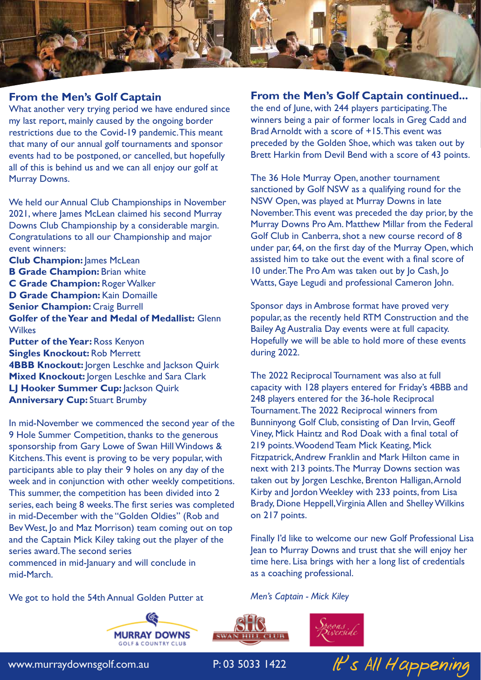

# **From the Men's Golf Captain**

What another very trying period we have endured since my last report, mainly caused by the ongoing border restrictions due to the Covid-19 pandemic. This meant that many of our annual golf tournaments and sponsor events had to be postponed, or cancelled, but hopefully all of this is behind us and we can all enjoy our golf at Murray Downs.

We held our Annual Club Championships in November 2021, where James McLean claimed his second Murray Downs Club Championship by a considerable margin. Congratulations to all our Championship and major event winners:

**Club Champion:** James McLean **B Grade Champion: Brian white C Grade Champion:** Roger Walker **D Grade Champion:** Kain Domaille **Senior Champion: Craig Burrell Golfer of the Year and Medal of Medallist:** Glenn **Wilkes Putter of the Year:** Ross Kenyon

**Singles Knockout:** Rob Merrett **4BBB Knockout:** Jorgen Leschke and Jackson Quirk **Mixed Knockout: Jorgen Leschke and Sara Clark LJ Hooker Summer Cup: |ackson Quirk Anniversary Cup: Stuart Brumby** 

In mid-November we commenced the second year of the 9 Hole Summer Competition, thanks to the generous sponsorship from Gary Lowe of Swan Hill Windows & Kitchens. This event is proving to be very popular, with participants able to play their 9 holes on any day of the week and in conjunction with other weekly competitions. This summer, the competition has been divided into 2 series, each being 8 weeks. The first series was completed in mid-December with the "Golden Oldies" (Rob and Bev West, Jo and Maz Morrison) team coming out on top and the Captain Mick Kiley taking out the player of the series award. The second series commenced in mid-January and will conclude in

mid-March.

We got to hold the 54th Annual Golden Putter at

# **MURRAY DOWNS** GOLF & COUNTRY CLL

#### **From the Men's Golf Captain continued...**

the end of June, with 244 players participating. The winners being a pair of former locals in Greg Cadd and Brad Arnoldt with a score of +15. This event was preceded by the Golden Shoe, which was taken out by Brett Harkin from Devil Bend with a score of 43 points.

The 36 Hole Murray Open, another tournament sanctioned by Golf NSW as a qualifying round for the NSW Open, was played at Murray Downs in late November. This event was preceded the day prior, by the Murray Downs Pro Am. Matthew Millar from the Federal Golf Club in Canberra, shot a new course record of 8 under par, 64, on the first day of the Murray Open, which assisted him to take out the event with a final score of 10 under. The Pro Am was taken out by Jo Cash, Jo Watts, Gaye Legudi and professional Cameron John.

Sponsor days in Ambrose format have proved very popular, as the recently held RTM Construction and the Bailey Ag Australia Day events were at full capacity. Hopefully we will be able to hold more of these events during 2022.

The 2022 Reciprocal Tournament was also at full capacity with 128 players entered for Friday's 4BBB and 248 players entered for the 36-hole Reciprocal Tournament. The 2022 Reciprocal winners from Bunninyong Golf Club, consisting of Dan Irvin, Geoff Viney, Mick Haintz and Rod Doak with a final total of 219 points. Woodend Team Mick Keating, Mick Fitzpatrick, Andrew Franklin and Mark Hilton came in next with 213 points. The Murray Downs section was taken out by Jorgen Leschke, Brenton Halligan, Arnold Kirby and Jordon Weekley with 233 points, from Lisa Brady, Dione Heppell, Virginia Allen and Shelley Wilkins on 217 points.

Finally I'd like to welcome our new Golf Professional Lisa Jean to Murray Downs and trust that she will enjoy her time here. Lisa brings with her a long list of credentials as a coaching professional.

*Men's Captain - Mick Kiley*